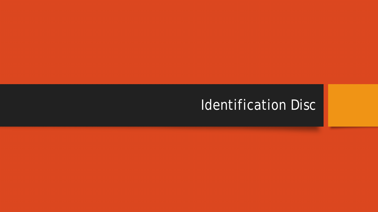# Identification Disc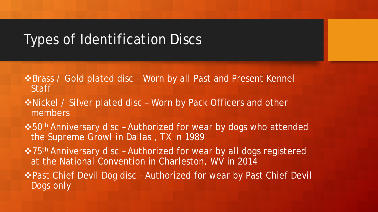### Types of Identification Discs

- $\triangle$ **Brass / Gold plated disc Worn by all Past and Present Kennel Staff**
- **\*Nickel / Silver plated disc Worn by Pack Officers and other** members
- $\cdot$  50<sup>th</sup> Anniversary disc Authorized for wear by dogs who attended the Supreme Growl in Dallas , TX in 1989
- ❖75<sup>th</sup> Anniversary disc Authorized for wear by all dogs registered at the National Convention in Charleston, WV in 2014
- **\*Past Chief Devil Dog disc Authorized for wear by Past Chief Devil** Dogs only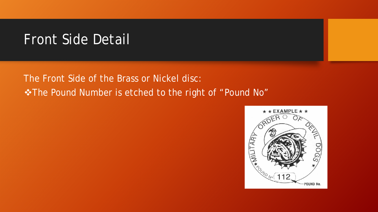## Front Side Detail

The Front Side of the Brass or Nickel disc: The Pound Number is etched to the right of "Pound No"

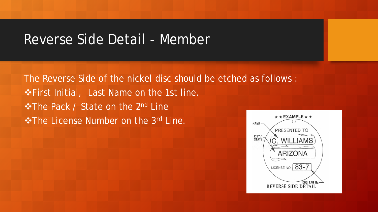#### Reverse Side Detail - Member

The Reverse Side of the nickel disc should be etched as follows :  $\triangle$ **First Initial, Last Name on the 1st line.**  $\cdot$  **The Pack / State on the 2<sup>nd</sup> Line**  $\triangle$ **The License Number on the 3<sup>rd</sup> Line.** NAME-

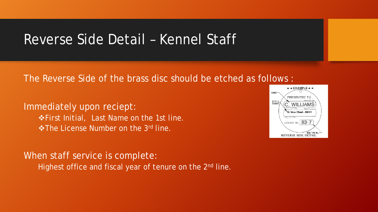#### Reverse Side Detail – Kennel Staff

The Reverse Side of the brass disc should be etched as follows :

Immediately upon reciept:  $\triangle$ **First Initial, Last Name on the 1st line. \*The License Number on the 3rd line.** 

When staff service is complete: Highest office and fiscal year of tenure on the 2<sup>nd</sup> line.

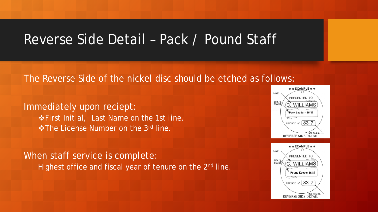### Reverse Side Detail – Pack / Pound Staff

#### The Reverse Side of the nickel disc should be etched as follows:

Immediately upon reciept:  $\triangle$ **First Initial, Last Name on the 1st line. Extempt Find The License Number on the 3rd line.** 

When staff service is complete: Highest office and fiscal year of tenure on the 2<sup>nd</sup> line.



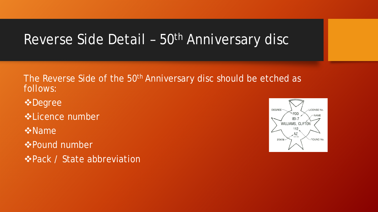# Reverse Side Detail - 50<sup>th</sup> Anniversary disc

The Reverse Side of the 50<sup>th</sup> Anniversary disc should be etched as follows:

- **☆Degree**
- Licence number
- **☆Name**
- Pound number
- $\triangle$ **Pack / State abbreviation**